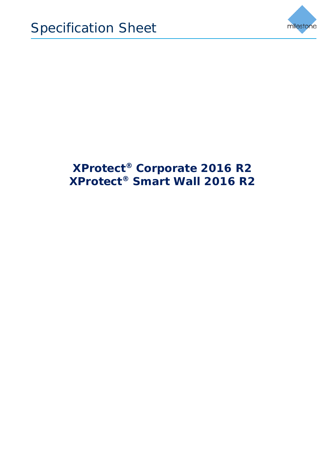

## **XProtect® Corporate 2016 R2 XProtect® Smart Wall 2016 R2**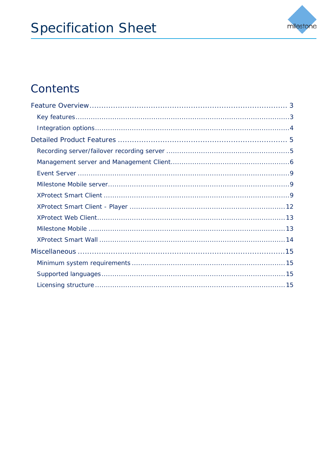

## Contents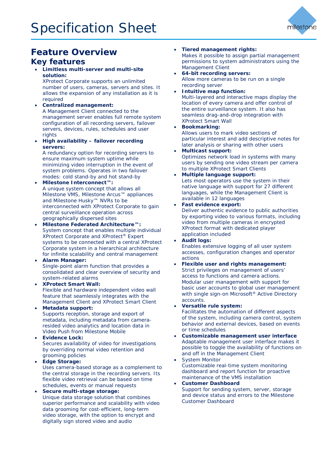

## <span id="page-2-0"></span>**Feature Overview**

### <span id="page-2-1"></span>**Key features**

• **Limitless multi-server and multi-site solution:**

XProtect Corporate supports an unlimited number of users, cameras, servers and sites. It allows the expansion of any installation as it is required

- **Centralized management:** A Management Client connected to the management server enables full remote system configuration of all recording servers, failover servers, devices, rules, schedules and user rights
- **High availability – failover recording servers:**

A redundancy option for recording servers to ensure maximum system uptime while minimizing video interruption in the event of system problems. Operates in two failover modes: cold stand-by and hot stand-by

- **Milestone Interconnect™:** A unique system concept that allows all Milestone VMS, Milestone Arcus™ appliances and Milestone Husky™ NVRs to be interconnected with XProtect Corporate to gain central surveillance operation across geographically dispersed sites
- **Milestone Federated Architecture™:** System concept that enables multiple individual XProtect Corporate and XProtect® Expert systems to be connected with a central XProtect Corporate system in a hierarchical architecture for infinite scalability and central management
- **Alarm Manager:** Single-point alarm function that provides a consolidated and clear overview of security and system-related alarms
- **XProtect Smart Wall:** Flexible and hardware independent video wall feature that seamlessly integrates with the Management Client and XProtect Smart Client
- **Metadata support:** Supports reception, storage and export of metadata, including metadata from cameraresided video analytics and location data in Video Push from Milestone Mobile
- **Evidence Lock:** Secures availability of video for investigations by overriding normal video retention and grooming policies
- **Edge Storage:**  Uses camera-based storage as a complement to the central storage in the recording servers. Its flexible video retrieval can be based on time schedules, events or manual requests
- **Secure multi-stage storage:** Unique data storage solution that combines superior performance and scalability with video data grooming for cost-efficient, long-term video storage, with the option to encrypt and digitally sign stored video and audio

### • **Tiered management rights:**

Makes it possible to assign partial management permissions to system administrators using the Management Client

- **64-bit recording servers:** Allow more cameras to be run on a single recording server
- **Intuitive map function:** Multi-layered and interactive maps display the location of every camera and offer control of the entire surveillance system. It also has seamless drag-and-drop integration with XProtect Smart Wall
	- **Bookmarking:** Allows users to mark video sections of particular interest and add descriptive notes for later analysis or sharing with other users
	- **Multicast support:**  Optimizes network load in systems with many users by sending one video stream per camera to multiple XProtect Smart Clients
- **Multiple language support:**  Lets most operators use the system in their native language with support for 27 different languages, while the Management Client is available in 12 languages
- **Fast evidence export:**

Deliver authentic evidence to public authorities by exporting video to various formats, including video from multiple cameras in encrypted XProtect format with dedicated player application included

• **Audit logs:** 

Enables extensive logging of all user system accesses, configuration changes and operator actions

- **Flexible user and rights management:**  Strict privileges on management of users' access to functions and camera actions. Modular user management with support for basic user accounts to global user management with single sign-on Microsoft® Active Directory accounts.
- **Versatile rule system:** Facilitates the automation of different aspects of the system, including camera control, system behavior and external devices, based on events or time schedules
- **Customizable management user interface** Adaptable management user interface makes it possible to toggle the availability of functions on and off in the Management Client
- **System Monitor** Customizable real-time system monitoring dashboard and report function for proactive maintenance of the VMS installation
- **Customer Dashboard** Support for sending system, server, storage and device status and errors to the Milestone Customer Dashboard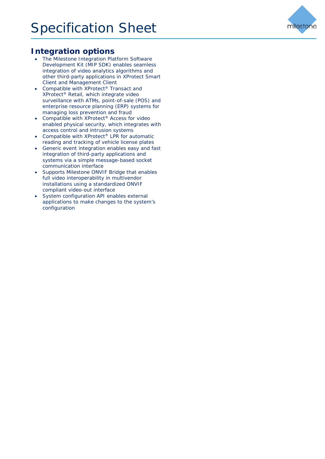## <span id="page-3-0"></span>**Integration options**

- The Milestone Integration Platform Software Development Kit (MIP SDK) enables seamless integration of video analytics algorithms and other third-party applications in XProtect Smart Client and Management Client
- Compatible with XProtect® Transact and XProtect® Retail, which integrate video surveillance with ATMs, point-of-sale (POS) and enterprise resource planning (ERP) systems for managing loss prevention and fraud
- Compatible with XProtect<sup>®</sup> Access for video enabled physical security, which integrates with access control and intrusion systems
- Compatible with XProtect<sup>®</sup> LPR for automatic reading and tracking of vehicle license plates
- Generic event integration enables easy and fast integration of third-party applications and systems via a simple message-based socket communication interface
- Supports Milestone ONVIF Bridge that enables full video interoperability in multivendor installations using a standardized ONVIF compliant video-out interface
- System configuration API enables external applications to make changes to the system's configuration

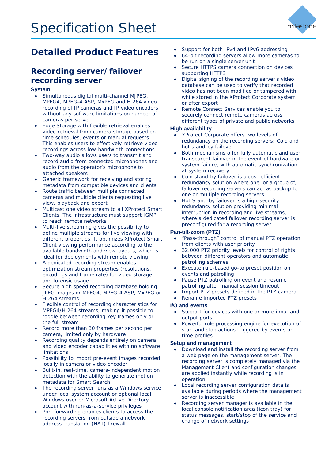

## <span id="page-4-0"></span>**Detailed Product Features**

## <span id="page-4-1"></span>**Recording server/failover recording server**

### **System**

- Simultaneous digital multi-channel MJPEG, MPEG4, MPEG-4 ASP, MxPEG and H.264 video recording of IP cameras and IP video encoders without any software limitations on number of cameras per server
- Edge Storage with flexible retrieval enables video retrieval from camera storage based on time schedules, events or manual requests. This enables users to effectively retrieve video recordings across low-bandwidth connections
- Two-way audio allows users to transmit and record audio from connected microphones and audio from the operator's microphone to attached speakers
- Generic framework for receiving and storing metadata from compatible devices and clients
- Route traffic between multiple connected cameras and multiple clients requesting live view, playback and export
- Multicast one video stream to all XProtect Smart Clients. The infrastructure must support IGMP to reach remote networks
- Multi-live streaming gives the possibility to define multiple streams for live viewing with different properties. It optimizes XProtect Smart Client viewing performance according to the available bandwidth and view layouts, which is ideal for deployments with remote viewing
- A dedicated recording stream enables optimization stream properties (resolutions, encodings and frame rate) for video storage and forensic usage
- Secure high speed recording database holding JPEG images or MPEG4, MPEG-4 ASP, MxPEG or H.264 streams
- Flexible control of recording characteristics for MPEG4/H.264 streams, making it possible to toggle between recording key frames only or the full stream
- Record more than 30 frames per second per camera, limited only by hardware
- Recording quality depends entirely on camera and video encoder capabilities with no software limitations
- Possibility to import pre-event images recorded locally in camera or video encoder
- Built-in, real-time, camera-independent motion detection with the ability to generate motion metadata for Smart Search
- The recording server runs as a Windows service under local system account or optional local Windows user or Microsoft Active Directory account with run-as-a-service privileges
- Port forwarding enables clients to access the recording servers from outside a network address translation (NAT) firewall
- Support for both IPv4 and IPv6 addressing
- 64-bit recording servers allow more cameras to be run on a single server unit
- Secure HTTPS camera connection on devices supporting HTTPS
- Digital signing of the recording server's video database can be used to verify that recorded video has not been modified or tampered with while stored in the XProtect Corporate system or after export
- Remote Connect Services enable you to securely connect remote cameras across different types of private and public networks

### **High availability**

- XProtect Corporate offers two levels of redundancy on the recording servers: Cold and hot stand-by failover
- Both mechanisms offer fully automatic and user transparent failover in the event of hardware or system failure, with automatic synchronization at system recovery
- Cold stand-by failover is a cost-efficient redundancy solution where one, or a group of, failover recording servers can act as backup to one or multiple recording servers
- Hot Stand-by failover is a high-security redundancy solution providing minimal interruption in recording and live streams, where a dedicated failover recording server is preconfigured for a recording server

### **Pan-tilt-zoom (PTZ)**

- "Pass-through" control of manual PTZ operation from clients with user priority
- 32,000 PTZ priority levels for control of rights between different operators and automatic patrolling schemes
- Execute rule-based go-to preset position on events and patrolling
- Pause PTZ patrolling on event and resume patrolling after manual session timeout
- Import PTZ presets defined in the PTZ camera
- Rename imported PTZ presets

### **I/O and events**

- Support for devices with one or more input and output ports
- Powerful rule processing engine for execution of start and stop actions triggered by events or time profiles

### **Setup and management**

- Download and install the recording server from a web page on the management server. The recording server is completely managed via the Management Client and configuration changes are applied instantly while recording is in operation
- Local recording server configuration data is available during periods where the management server is inaccessible
- Recording server manager is available in the local console notification area (icon tray) for status messages, start/stop of the service and change of network settings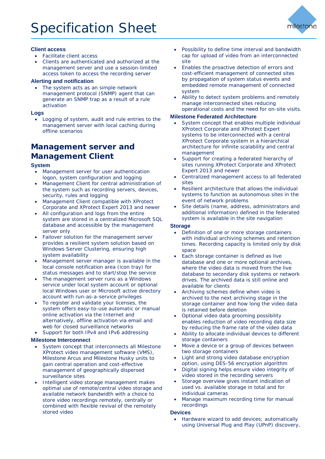

### **Client access**

- Facilitate client access
- Clients are authenticated and authorized at the management server and use a session-limited access token to access the recording server

### **Alerting and notification**

The system acts as an simple network management protocol (SNMP) agent that can generate an SNMP trap as a result of a rule activation

### **Logs**

Logging of system, audit and rule entries to the management server with local caching during offline scenarios

## <span id="page-5-0"></span>**Management server and Management Client**

### **System**

- Management server for user authentication logon, system configuration and logging
- Management Client for central administration of the system such as recording servers, devices, security, rules and logging
- Management Client compatible with XProtect Corporate and XProtect Expert 2013 and newer
- All configuration and logs from the entire system are stored in a centralized Microsoft SQL database and accessible by the management server only
- Failover solution for the management server provides a resilient system solution based on Windows Server Clustering, ensuring high system availability
- Management server manager is available in the local console notification area (icon tray) for status messages and to start/stop the service
- The management server runs as a Windows service under local system account or optional local Windows user or Microsoft active directory account with run-as-a-service privileges
- To register and validate your licenses, the system offers easy-to-use automatic or manual online activation via the Internet and alternatively, offline activation via email and web for closed surveillance networks
- Support for both IPv4 and IPv6 addressing

### **Milestone Interconnect**

- System concept that interconnects all Milestone XProtect video management software (VMS), Milestone Arcus and Milestone Husky units to gain central operation and cost-effective management of geographically dispersed surveillance sites
- Intelligent video storage management makes optimal use of remote/central video storage and available network bandwidth with a choice to store video recordings remotely, centrally or combined with flexible revival of the remotely stored video
- Possibility to define time interval and bandwidth cap for upload of video from an interconnected site
- Enables the proactive detection of errors and cost-efficient management of connected sites by propagation of system status events and embedded remote management of connected system
- Ability to detect system problems and remotely manage interconnected sites reducing operational costs and the need for on-site visits.

### **Milestone Federated Architecture**

- System concept that enables multiple individual XProtect Corporate and XProtect Expert systems to be interconnected with a central XProtect Corporate system in a hierarchical architecture for infinite scalability and central management
- Support for creating a federated hierarchy of sites running XProtect Corporate and XProtect Expert 2013 and newer
- Centralized management access to all federated sites
- Resilient architecture that allows the individual systems to function as autonomous sites in the event of network problems
- Site details (name, address, administrators and additional information) defined in the federated system is available in the site navigation

### **Storage**

- Definition of one or more storage containers with individual archiving schemes and retention times. Recording capacity is limited only by disk space
- Each storage container is defined as live database and one or more optional archives, where the video data is moved from the live database to secondary disk systems or network drives. The archived data is still online and available for clients
- Archiving schemes define when video is archived to the next archiving stage in the storage container and how long the video data is retained before deletion
- Optional video data grooming possibility enables reduction of video recording data size by reducing the frame rate of the video data
- Ability to allocate individual devices to different storage containers
- Move a device or a group of devices between two storage containers
- Light and strong video database encryption option, using DES-56 encryption algorithm
- Digital signing helps ensure video integrity of video stored in the recording servers
- Storage overview gives instant indication of used vs. available storage in total and for individual cameras
- Manage maximum recording time for manual recordings

### **Devices**

• Hardware wizard to add devices; automatically using Universal Plug and Play (UPnP) discovery,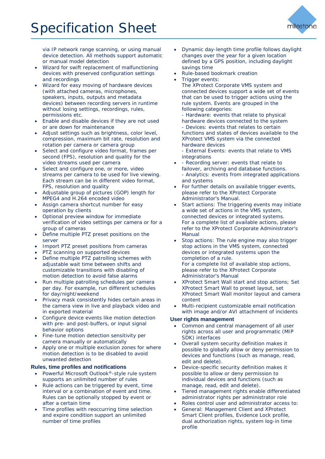

via IP network range scanning, or using manual device detection. All methods support automatic or manual model detection

- Wizard for swift replacement of malfunctioning devices with preserved configuration settings and recordings
- Wizard for easy moving of hardware devices (with attached cameras, microphones, speakers, inputs, outputs and metadata devices) between recording servers in runtime without losing settings, recordings, rules, permissions etc.
- Enable and disable devices if they are not used or are down for maintenance
- Adjust settings such as brightness, color level, compression, maximum bit rate, resolution and rotation per camera or camera group
- Select and configure video format, frames per second (FPS), resolution and quality for the video streams used per camera
- Select and configure one, or more, video streams per camera to be used for live viewing. Each stream can be in different video format, FPS, resolution and quality
- Adjustable group of pictures (GOP) length for MPEG4 and H.264 encoded video
- Assign camera shortcut number for easy operation by clients
- Optional preview window for immediate verification of video settings per camera or for a group of cameras
- Define multiple PTZ preset positions on the server
- Import PTZ preset positions from cameras
- PTZ scanning on supported devices
- Define multiple PTZ patrolling schemes with adjustable wait time between shifts and customizable transitions with disabling of motion detection to avoid false alarms
- Run multiple patrolling schedules per camera per day. For example, run different schedules for day/night/weekend
- Privacy mask consistently hides certain areas in the camera view in live and playback video and in exported material
- Configure device events like motion detection with pre- and post-buffers, or input signal behavior options
- Fine-tune motion detection sensitivity per camera manually or automatically
- Apply one or multiple exclusion zones for where motion detection is to be disabled to avoid unwanted detection

### **Rules, time profiles and notifications**

- Powerful Microsoft Outlook®-style rule system supports an unlimited number of rules
- Rule actions can be triggered by event, time interval or a combination of event and time. Rules can be optionally stopped by event or after a certain time
- Time profiles with reoccurring time selection and expire condition support an unlimited number of time profiles
- Dynamic day-length time profile follows daylight changes over the year for a given location defined by a GPS position, including daylight savings time
- Rule-based bookmark creation
- Trigger events:
	- The XProtect Corporate VMS system and connected devices support a wide set of events that can be used to trigger actions using the rule system. Events are grouped in the following categories:
	- Hardware: events that relate to physical hardware devices connected to the system - Devices: events that relates to certain functions and states of devices available to the XProtect VMS system via the connected hardware devices
	- External Events: events that relate to VMS integrations
- - Recording server: events that relate to failover, archiving and database functions. - Analytics: events from integrated applications and systems
- For further details on available trigger events, please refer to the XProtect Corporate Administrator's Manual.
- Start actions: The triggering events may initiate a wide set of actions in the VMS system, connected devices or integrated systems. For a complete list of available actions, please refer to the XProtect Corporate Administrator's Manual
- Stop actions: The rule engine may also trigger stop actions in the VMS system, connected devices or integrated systems upon the completion of a rule. For a complete list of available stop actions, please refer to the XProtect Corporate Administrator's Manual
- XProtect Smart Wall start and stop actions; Set XProtect Smart Wall to preset layout, set XProtect Smart Wall monitor layout and camera content
- Multi-recipient customizable email notification with image and/or AVI attachment of incidents

### **User rights management**

- Common and central management of all user rights across all user and programmatic (MIP SDK) interfaces
- Overall system security definition makes it possible to globally allow or deny permission to devices and functions (such as manage, read, edit and delete).
- Device-specific security definition makes it possible to allow or deny permission to individual devices and functions (such as manage, read, edit and delete).
- Tiered management rights enable differentiated administrator rights per administrator role
- Roles control user and administrator access to:
- General: Management Client and XProtect Smart Client profiles, Evidence Lock profile, dual authorization rights, system log-in time profile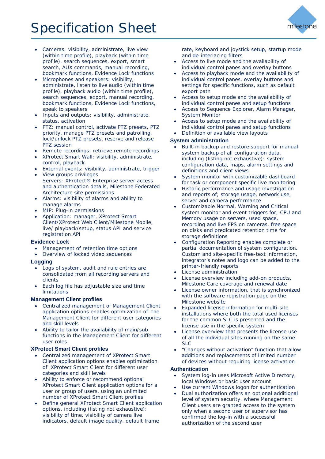# Specification Sheet



- Cameras: visibility, administrate, live view (within time profile), playback (within time profile), search sequences, export, smart search, AUX commands, manual recording, bookmark functions, Evidence Lock functions
- Microphones and speakers: visibility, administrate, listen to live audio (within time profile), playback audio (within time profile), search sequences, export, manual recording, bookmark functions, Evidence Lock functions, speak to speakers
- Inputs and outputs: visibility, administrate, status, activation
- PTZ: manual control, activate PTZ presets, PTZ priority, manage PTZ presets and patrolling, lock/unlock PTZ presets, reserve and release PTZ session
- Remote recordings: retrieve remote recordings
- XProtect Smart Wall: visibility, administrate, control, playback
- External events: visibility, administrate, trigger
- View groups privileges Servers: XProtect® Enterprise server access and authentication details, Milestone Federated Architecture site permissions
- Alarms: visibility of alarms and ability to manage alarms
- MIP: Plug-in permissions
- Application: manager, XProtect Smart Client/XProtect Web Client/Milestone Mobile, live/ playback/setup, status API and service registration API

### **Evidence Lock**

- Management of retention time options
- Overview of locked video sequences

### **Logging**

- Logs of system, audit and rule entries are consolidated from all recording servers and clients
- Each log file has adjustable size and time limitations

### **Management Client profiles**

- Centralized management of Management Client application options enables optimization of the Management Client for different user categories and skill levels
- Ability to tailor the availability of main/sub functions in the Management Client for different user roles

### **XProtect Smart Client profiles**

- Centralized management of XProtect Smart Client application options enables optimization of XProtect Smart Client for different user categories and skill levels
- Ability to enforce or recommend optional XProtect Smart Client application options for a user or group of users, using an unlimited number of XProtect Smart Client profiles
- Define general XProtect Smart Client application options, including (listing not exhaustive): visibility of time, visibility of camera live indicators, default image quality, default frame

rate, keyboard and joystick setup, startup mode and de-interlacing filters

- Access to live mode and the availability of individual control panes and overlay buttons
- Access to playback mode and the availability of individual control panes, overlay buttons and settings for specific functions, such as default export path
- Access to setup mode and the availability of individual control panes and setup functions
- Access to Sequence Explorer, Alarm Manager, System Monitor
- Access to setup mode and the availability of individual control panes and setup functions
	- Definition of available view layouts

### **System administration**

- Built-in backup and restore support for manual system backup of all configuration data, including (listing not exhaustive): system configuration data, maps, alarm settings and definitions and client views
- System monitor with customizable dashboard for task or component specific live monitoring
- Historic performance and usage investigation and reports of; storage usage, network use, server and camera performance
- Customizable Normal, Warning and Critical system monitor and event triggers for; CPU and Memory usage on servers, used space, recording and live FPS on cameras, free space on disks and predicated retention time for storage definitions
- Configuration Reporting enables complete or partial documentation of system configuration. Custom and site-specific free-text information, integrator's notes and logo can be added to the printer-friendly reports
- License administration
- License overview including add-on products, Milestone Care coverage and renewal date
- License owner information, that is synchronized with the software registration page on the Milestone website
- Expanded license information for multi-site installations where both the total used licenses for the common SLC is presented and the license use in the specific system
- License overview that presents the license use of all the individual sites running on the same SLC
- "Changes without activation" function that allow additions and replacements of limited number of devices without requiring license activation

### **Authentication**

- System log-in uses Microsoft Active Directory, local Windows or basic user account
- Use current Windows logon for authentication
- Dual authorization offers an optional additional level of system security, where Management Client users are granted access to the system only when a second user or supervisor has confirmed the log-in with a successful authorization of the second user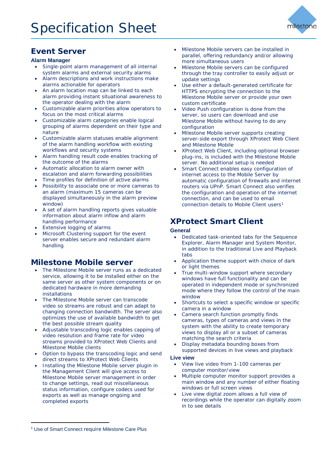

## <span id="page-8-0"></span>**Event Server**

### **Alarm Manager**

- Single-point alarm management of all internal system alarms and external security alarms
- Alarm descriptions and work instructions make alarms actionable for operators
- An alarm location map can be linked to each alarm providing instant situational awareness to the operator dealing with the alarm
- Customizable alarm priorities allow operators to focus on the most critical alarms
- Customizable alarm categories enable logical grouping of alarms dependent on their type and nature
- Customizable alarm statuses enable alignment of the alarm handling workflow with existing workflows and security systems
- Alarm handling result code enables tracking of the outcome of the alarms
- Automatic allocation to alarm owner with escalation and alarm forwarding possibilities
- Time profiles for definition of active alarms
- Possibility to associate one or more cameras to an alarm (maximum 15 cameras can be displayed simultaneously in the alarm preview window)
- A set of alarm handling reports gives valuable information about alarm inflow and alarm handling performance
- Extensive logging of alarms
- Microsoft Clustering support for the event server enables secure and redundant alarm handling

## <span id="page-8-1"></span>**Milestone Mobile server**

- The Milestone Mobile server runs as a dedicated service, allowing it to be installed either on the same server as other system components or on dedicated hardware in more demanding installations
- The Milestone Mobile server can transcode video so streams are robust and can adapt to changing connection bandwidth. The server also optimizes the use of available bandwidth to get the best possible stream quality
- Adjustable transcoding logic enables capping of video resolution and frame rate for video streams provided to XProtect Web Clients and Milestone Mobile clients
- Option to bypass the transcoding logic and send direct streams to XProtect Web Clients
- Installing the Milestone Mobile server plugin in the Management Client will give access to Milestone Mobile server management in order to change settings, read out miscellaneous status information, configure codecs used for exports as well as manage ongoing and completed exports
- Milestone Mobile servers can be installed in parallel, offering redundancy and/or allowing more simultaneous users
- Milestone Mobile servers can be configured through the tray controller to easily adjust or update settings
- Use either a default-generated certificate for HTTPS encrypting the connection to the Milestone Mobile server or provide your own custom certificate
- Video Push configuration is done from the server, so users can download and use Milestone Mobile without having to do any configuration
- Milestone Mobile server supports creating server-side export through XProtect Web Client and Milestone Mobile
- XProtect Web Client, including optional browser plug-ins, is included with the Milestone Mobile server. No additional setup is needed
- Smart Connect enables easy configuration of internet access to the Mobile Server by automatic configuration of firewalls and internet routers via UPnP. Smart Connect also verifies the configuration and operation of the internet connection, and can be used to email connection details to Mobile Client users<sup>[1](#page-8-3)</sup>

## <span id="page-8-2"></span>**XProtect Smart Client**

### **General**

- Dedicated task-oriented tabs for the Sequence Explorer, Alarm Manager and System Monitor, in addition to the traditional Live and Playback tabs
- Application theme support with choice of dark or light themes
- True multi-window support where secondary windows have full functionality and can be operated in independent mode or synchronized mode where they follow the control of the main window
- Shortcuts to select a specific window or specific camera in a window
- Camera search function promptly finds cameras, types of cameras and views in the system with the ability to create temporary views to display all or a subset of cameras matching the search criteria
- Display metadata bounding boxes from supported devices in live views and playback

### **Live view**

- View live video from 1-100 cameras per computer monitor/view
- Multiple computer monitor support provides a main window and any number of either floating windows or full screen views
- Live view digital zoom allows a full view of recordings while the operator can digitally zoom in to see details

-

<span id="page-8-3"></span><sup>&</sup>lt;sup>1</sup> Use of Smart Connect require Milestone Care Plus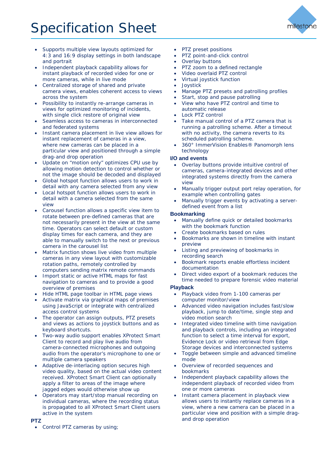# Specification Sheet



- Supports multiple view layouts optimized for 4:3 and 16:9 display settings in both landscape and portrait
- Independent playback capability allows for instant playback of recorded video for one or more cameras, while in live mode
- Centralized storage of shared and private camera views, enables coherent access to views across the system
- Possibility to instantly re-arrange cameras in views for optimized monitoring of incidents, with single click restore of original view
- Seamless access to cameras in interconnected and federated systems
- Instant camera placement in live view allows for instant replacement of cameras in a view, where new cameras can be placed in a particular view and positioned through a simple drag-and drop operation
- Update on "motion only" optimizes CPU use by allowing motion detection to control whether or not the image should be decoded and displayed
- Global hotspot function allows users to work in detail with any camera selected from any view
- Local hotspot function allows users to work in detail with a camera selected from the same view
- Carousel function allows a specific view item to rotate between pre-defined cameras that are not necessarily present in the view at the same time. Operators can select default or custom display times for each camera, and they are able to manually switch to the next or previous camera in the carousel list
- Matrix function shows live video from multiple cameras in any view layout with customizable rotation paths, remotely controlled by computers sending matrix remote commands
- Import static or active HTML maps for fast navigation to cameras and to provide a good overview of premises
- Hide HTML page toolbar in HTML page views
- Activate matrix via graphical maps of premises using JavaScript or integrate with centralized access control systems
- The operator can assign outputs, PTZ presets and views as actions to joystick buttons and as keyboard shortcuts.
- Two-way audio support enables XProtect Smart Client to record and play live audio from camera-connected microphones and outgoing audio from the operator's microphone to one or multiple camera speakers
- Adaptive de-interlacing option secures high video quality, based on the actual video content received. XProtect Smart Client can optionally apply a filter to areas of the image where jagged edges would otherwise show up
- Operators may start/stop manual recording on individual cameras, where the recording status is propagated to all XProtect Smart Client users active in the system

### **PTZ**

Control PTZ cameras by using;

- PTZ preset positions
- PTZ point-and-click control
- Overlay buttons
- PTZ zoom to a defined rectangle
- Video overlaid PTZ control
- Virtual joystick function
- **Joystick**
- Manage PTZ presets and patrolling profiles
- Start, stop and pause patrolling
- View who have PTZ control and time to automatic release
- Lock PTZ control
- Take manual control of a PTZ camera that is running a patrolling scheme. After a timeout with no activity, the camera reverts to its scheduled patrolling scheme.
- 360° ImmerVision Enables® Panomorph lens technology

### **I/O and events**

- Overlay buttons provide intuitive control of cameras, camera-integrated devices and other integrated systems directly from the camera view
- Manually trigger output port relay operation, for example when controlling gates
- Manually trigger events by activating a serverdefined event from a list

### **Bookmarking**

- Manually define quick or detailed bookmarks with the bookmark function
- Create bookmarks based on rules
- Bookmarks are shown in timeline with instant preview
- Listing and previewing of bookmarks in recording search
- Bookmark reports enable effortless incident documentation
- Direct video export of a bookmark reduces the time needed to prepare forensic video material

### **Playback**

- Playback video from 1-100 cameras per computer monitor/view
- Advanced video navigation includes fast/slow playback, jump to date/time, single step and video motion search
- Integrated video timeline with time navigation and playback controls, including an integrated function to select a time interval for export, Evidence Lock or video retrieval from Edge Storage devices and interconnected systems
- Toggle between simple and advanced timeline mode
- Overview of recorded sequences and bookmarks
- Independent playback capability allows the independent playback of recorded video from one or more cameras
- Instant camera placement in playback view allows users to instantly replace cameras in a view, where a new camera can be placed in a particular view and position with a simple dragand drop operation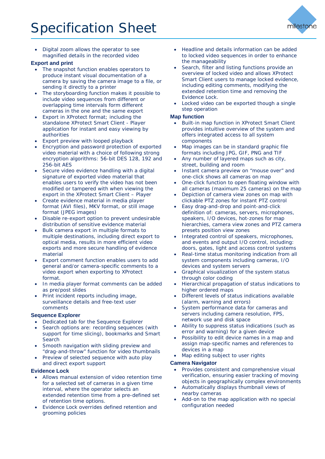

• Digital zoom allows the operator to see magnified details in the recorded video

### **Export and print**

- The snapshot function enables operators to produce instant visual documentation of a camera by saving the camera image to a file, or sending it directly to a printer
- The storyboarding function makes it possible to include video sequences from different or overlapping time intervals form different cameras in the one and the same export
- Export in XProtect format; including the standalone XProtect Smart Client - Player application for instant and easy viewing by authorities
- Export preview with looped playback
- Encryption and password protection of exported video material with a choice of following strong encryption algorithms: 56-bit DES 128, 192 and 256-bit AES
- Secure video evidence handling with a digital signature of exported video material that enables users to verify the video has not been modified or tampered with when viewing the export in the XProtect Smart Client – Player
- Create evidence material in media player format (AVI files), MKV format, or still image format (JPEG images)
- Disable re-export option to prevent undesirable distribution of sensitive evidence material
- Bulk camera export in multiple formats to multiple destinations, including direct export to optical media, results in more efficient video exports and more secure handling of evidence material
- Export comment function enables users to add general and/or camera-specific comments to a video export when exporting to XProtect format.
- In media player format comments can be added as pre/post slides
- Print incident reports including image, surveillance details and free-text user comments

### **Sequence Explorer**

- Dedicated tab for the Sequence Explorer
- Search options are: recording sequences (with support for time slicing), bookmarks and Smart Search
- Smooth navigation with sliding preview and "drag-and-throw" function for video thumbnails
- Preview of selected sequence with auto play and direct export support

### **Evidence Lock**

- Allows manual extension of video retention time for a selected set of cameras in a given time interval, where the operator selects an extended retention time from a pre-defined set of retention time options.
- Evidence Lock overrides defined retention and grooming policies
- Headline and details information can be added to locked video sequences in order to enhance the manageability
- Search, filter and listing functions provide an overview of locked video and allows XProtect Smart Client users to manage locked evidence, including editing comments, modifying the extended retention time and removing the Evidence Lock.
- Locked video can be exported though a single step operation

### **Map function**

- Built-in map function in XProtect Smart Client provides intuitive overview of the system and offers integrated access to all system components
- Map images can be in standard graphic file formats including JPG, GIF, PNG and TIF
- Any number of layered maps such as city, street, building and room
- Instant camera preview on "mouse over" and one-click shows all cameras on map
- One-click function to open floating window with all cameras (maximum 25 cameras) on the map
- Depiction of camera view zones on map with clickable PTZ zones for instant PTZ control
- Easy drag-and-drop and point-and-click definition of: cameras, servers, microphones, speakers, I/O devices, hot-zones for map hierarchies, camera view zones and PTZ camera presets position view zones
- Integrated control of speakers, microphones, and events and output I/O control, including: doors, gates, light and access control systems
- Real-time status monitoring indication from all system components including cameras, I/O devices and system servers
- Graphical visualization of the system status through color coding
- Hierarchical propagation of status indications to higher ordered maps
- Different levels of status indications available (alarm, warning and errors)
- System performance data for cameras and servers including camera resolution, FPS, network use and disk space
- Ability to suppress status indications (such as error and warning) for a given device
- Possibility to edit device names in a map and assign map-specific names and references to devices in a map
- Map editing subject to user rights

### **Camera Navigator**

- Provides consistent and comprehensive visual verification, ensuring easier tracking of moving objects in geographically complex environments
- Automatically displays thumbnail views of nearby cameras
- Add-on to the map application with no special configuration needed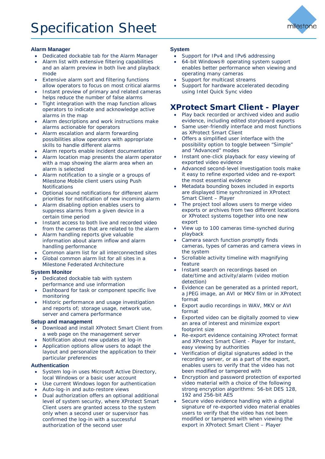

### **Alarm Manager**

- Dedicated dockable tab for the Alarm Manager
- Alarm list with extensive filtering capabilities and an alarm preview in both live and playback
- mode Extensive alarm sort and filtering functions
- allow operators to focus on most critical alarms Instant preview of primary and related cameras
- helps reduce the number of false alarms Tight integration with the map function allows
- operators to indicate and acknowledge active alarms in the map
- Alarm descriptions and work instructions make alarms actionable for operators
- Alarm escalation and alarm forwarding possibilities allow operators with appropriate skills to handle different alarms
- Alarm reports enable incident documentation
- Alarm location map presents the alarm operator with a map showing the alarm area when an alarm is selected
- Alarm notification to a single or a groups of Milestone Mobile client users using Push **Notifications**
- Optional sound notifications for different alarm priorities for notification of new incoming alarm
- Alarm disabling option enables users to suppress alarms from a given device in a certain time period
- Instant access to both live and recorded video from the cameras that are related to the alarm
- Alarm handling reports give valuable information about alarm inflow and alarm handling performance
- Common alarm list for all interconnected sites
- Global common alarm list for all sites in a Milestone Federated Architecture

### **System Monitor**

- Dedicated dockable tab with system performance and use information
- Dashboard for task or component specific live monitoring
- Historic performance and usage investigation and reports of; storage usage, network use, server and camera performance

### **Setup and management**

- Download and install XProtect Smart Client from a web page on the management server
- Notification about new updates at log-in
- Application options allow users to adapt the layout and personalize the application to their particular preferences

### **Authentication**

- System log-in uses Microsoft Active Directory, local Windows or a basic user account
- Use current Windows logon for authentication
- Auto-log-in and auto-restore views
- Dual authorization offers an optional additional level of system security, where XProtect Smart Client users are granted access to the system only when a second user or supervisor has confirmed the log-in with a successful authorization of the second user

### **System**

- Support for IPv4 and IPv6 addressing
- 64-bit Windows® operating system support enables better performance when viewing and operating many cameras
- Support for multicast streams
- Support for hardware accelerated decoding using Intel Quick Sync video

## <span id="page-11-0"></span>**XProtect Smart Client - Player**

- Play back recorded or archived video and audio evidence, including edited storyboard exports
- Same user-friendly interface and most functions as XProtect Smart Client
- Offers a simplified user interface with the possibility option to toggle between "Simple" and "Advanced" modes
- Instant one-click playback for easy viewing of exported video evidence
- Advanced second-level investigation tools make it easy to refine exported video and re-export the most essential evidence
- Metadata bounding boxes included in exports are displayed time synchronized in XProtect Smart Client – Player
- The project tool allows users to merge video exports or archives from two different locations or XProtect systems together into one new export
- View up to 100 cameras time-synched during playback
- Camera search function promptly finds cameras, types of cameras and camera views in the system
- Scrollable activity timeline with magnifying feature
- Instant search on recordings based on date/time and activity/alarm (video motion detection)
- Evidence can be generated as a printed report, a JPEG image, an AVI or MKV film or in XProtect format
- Export audio recordings in WAV, MKV or AVI format
- Exported video can be digitally zoomed to view an area of interest and minimize export footprint size
- Re-export evidence containing XProtect format and XProtect Smart Client - Player for instant, easy viewing by authorities
- Verification of digital signatures added in the recording server, or as a part of the export, enables users to verify that the video has not been modified or tampered with
- Encryption and password protection of exported video material with a choice of the following strong encryption algorithms: 56-bit DES 128, 192 and 256-bit AES
- Secure video evidence handling with a digital signature of re-exported video material enables users to verify that the video has not been modified or tampered with when viewing the export in XProtect Smart Client – Player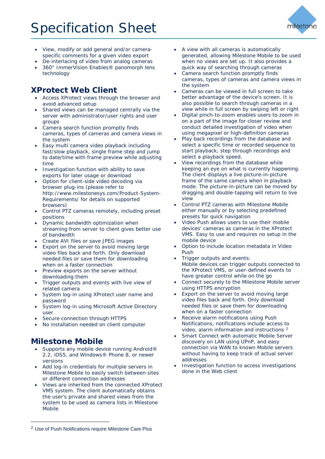

- View, modify or add general and/or cameraspecific comments for a given video export
- De-interlacing of video from analog cameras • 360° ImmerVision Enables® panomorph lens technology

## <span id="page-12-0"></span>**XProtect Web Client**

- Access XProtect views through the browser and avoid advanced setup
- Shared views can be managed centrally via the server with administrator/user rights and user groups
- Camera search function promptly finds cameras, types of cameras and camera views in the system
- Easy multi camera video playback including fast/slow playback, single frame step and jump to date/time with frame preview while adjusting time
- Investigation function with ability to save exports for later usage or download
- Option for client-side video decoding via browser plug-ins (please refer to [http://www.milestonesys.com/Product-System-](http://www.milestonesys.com/Product-System-Requirements/)[Requirements/](http://www.milestonesys.com/Product-System-Requirements/) for details on supported browsers)
- Control PTZ cameras remotely, including preset positions
- Dynamic bandwidth optimization when streaming from server to client gives better use of bandwidth
- Create AVI files or save JPEG images
- Export on the server to avoid moving large video files back and forth. Only download needed files or save them for downloading when on a faster connection
- Preview exports on the server without downloading them
- Trigger outputs and events with live view of related camera
- System log-in using XProtect user name and password
- System log-in using Microsoft Active Directory user
- Secure connection through HTTPS
- No installation needed on client computer

## <span id="page-12-1"></span>**Milestone Mobile**

-

- Supports any mobile device running Android® 2.2, iOS5, and Windows® Phone 8, or newer versions
- Add log-in credentials for multiple servers in Milestone Mobile to easily switch between sites or different connection addresses
- Views are inherited from the connected XProtect VMS system. The client automatically obtains the user's private and shared views from the system to be used as camera lists in Milestone Mobile
- Camera search function promptly finds cameras, types of cameras and camera views in the system
- Cameras can be viewed in full screen to take better advantage of the device's screen. It is also possible to search through cameras in a view while in full screen by swiping left or right
- Digital pinch-to-zoom enables users to zoom in on a part of the image for closer review and conduct detailed investigation of video when using megapixel or high-definition cameras
- Play back recordings from the database and select a specific time or recorded sequence to start playback, step through recordings and select a playback speed.
- View recordings from the database while keeping an eye on what is currently happening. The client displays a live picture-in-picture frame of the same camera when in playback mode. The picture-in-picture can be moved by dragging and double-tapping will return to live view
- Control PTZ cameras with Milestone Mobile either manually or by selecting predefined presets for quick navigation
- Video Push allows users to use their mobile devices' cameras as cameras in the XProtect VMS. Easy to use and requires no setup in the mobile device
- Option to include location metadata in Video Push
- Trigger outputs and events: Mobile devices can trigger outputs connected to the XProtect VMS, or user-defined events to have greater control while on the go
- Connect securely to the Milestone Mobile server using HTTPS encryption
- Export on the server to avoid moving large video files back and forth. Only download needed files or save them for downloading when on a faster connection
- Receive alarm notifications using Push Notifications, notifications include access to video, alarm information and instructions [2](#page-12-2)
- Smart Connect with automatic Mobile Server discovery on LAN using UPnP, and easy connection via WAN to known Mobile servers without having to keep track of actual server addresses
- Investigation function to access investigations done in the Web client

<sup>•</sup> A view with all cameras is automatically generated, allowing Milestone Mobile to be used when no views are set up. It also provides a quick way of searching through cameras

<span id="page-12-2"></span><sup>2</sup> Use of Push Notifications require Milestone Care Plus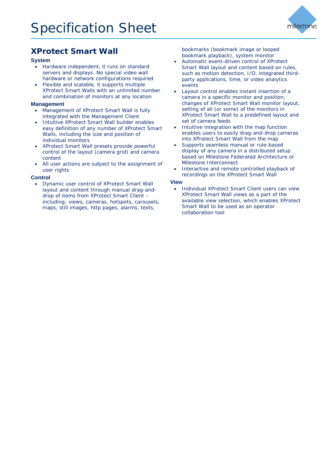

## <span id="page-13-0"></span>**XProtect Smart Wall**

### **System**

- Hardware independent, it runs on standard servers and displays. No special video wall hardware or network configurations required
- Flexible and scalable, it supports multiple XProtect Smart Walls with an unlimited number and combination of monitors at any location

### **Management**

- Management of XProtect Smart Wall is fully integrated with the Management Client
- Intuitive XProtect Smart Wall builder enables easy definition of any number of XProtect Smart Walls, including the size and position of individual monitors
- XProtect Smart Wall presets provide powerful control of the layout (camera grid) and camera content
- All user actions are subject to the assignment of user rights

### **Control**

• Dynamic user control of XProtect Smart Wall layout and content through manual drag-anddrop of items from XProtect Smart Client – including; views, cameras, hotspots, carousels, maps, still images, http pages, alarms, texts,

bookmarks (bookmark image or looped bookmark playback), system monitor

- Automatic event-driven control of XProtect Smart Wall layout and content based on rules, such as motion detection, I/O, integrated thirdparty applications, time, or video analytics events
- Layout control enables instant insertion of a camera in a specific monitor and position, changes of XProtect Smart Wall monitor layout, setting of all (or some) of the monitors in XProtect Smart Wall to a predefined layout and set of camera feeds
- Intuitive integration with the map function enables users to easily drag-and-drop cameras into XProtect Smart Wall from the map
- Supports seamless manual or rule-based display of any camera in a distributed setup based on Milestone Federated Architecture or Milestone Interconnect
- Interactive and remote controlled playback of recordings on the XProtect Smart Wall

### **View**

• Individual XProtect Smart Client users can view XProtect Smart Wall views as a part of the available view selection, which enables XProtect Smart Wall to be used as an operator collaboration tool